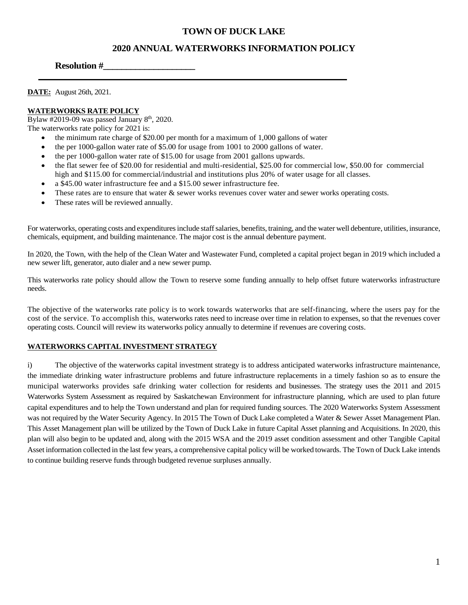# **TOWN OF DUCK LAKE**

# **2020 ANNUAL WATERWORKS INFORMATION POLICY**

### **Resolution #\_\_\_\_\_\_\_\_\_\_\_\_\_\_\_\_\_\_\_\_**

**DATE:** August 26th, 2021.

#### **WATERWORKS RATE POLICY**

Bylaw  $\#2019$ -09 was passed January  $8<sup>th</sup>$ , 2020. The waterworks rate policy for 2021 is:

- the minimum rate charge of \$20.00 per month for a maximum of 1,000 gallons of water
- the per 1000-gallon water rate of \$5.00 for usage from 1001 to 2000 gallons of water.
- the per 1000-gallon water rate of \$15.00 for usage from 2001 gallons upwards.
- the flat sewer fee of \$20.00 for residential and multi-residential, \$25.00 for commercial low, \$50.00 for commercial high and \$115.00 for commercial/industrial and institutions plus 20% of water usage for all classes.
- a \$45.00 water infrastructure fee and a \$15.00 sewer infrastructure fee.
- These rates are to ensure that water & sewer works revenues cover water and sewer works operating costs.
- These rates will be reviewed annually.

For waterworks, operating costs and expenditures include staff salaries, benefits, training, and the water well debenture, utilities, insurance, chemicals, equipment, and building maintenance. The major cost is the annual debenture payment.

In 2020, the Town, with the help of the Clean Water and Wastewater Fund, completed a capital project began in 2019 which included a new sewer lift, generator, auto dialer and a new sewer pump.

This waterworks rate policy should allow the Town to reserve some funding annually to help offset future waterworks infrastructure needs.

The objective of the waterworks rate policy is to work towards waterworks that are self-financing, where the users pay for the cost of the service. To accomplish this, waterworks rates need to increase over time in relation to expenses, so that the revenues cover operating costs. Council will review its waterworks policy annually to determine if revenues are covering costs.

#### **WATERWORKS CAPITAL INVESTMENT STRATEGY**

i) The objective of the waterworks capital investment strategy is to address anticipated waterworks infrastructure maintenance, the immediate drinking water infrastructure problems and future infrastructure replacements in a timely fashion so as to ensure the municipal waterworks provides safe drinking water collection for residents and businesses. The strategy uses the 2011 and 2015 Waterworks System Assessment as required by Saskatchewan Environment for infrastructure planning, which are used to plan future capital expenditures and to help the Town understand and plan for required funding sources. The 2020 Waterworks System Assessment was not required by the Water Security Agency. In 2015 The Town of Duck Lake completed a Water & Sewer Asset Management Plan. This Asset Management plan will be utilized by the Town of Duck Lake in future Capital Asset planning and Acquisitions. In 2020, this plan will also begin to be updated and, along with the 2015 WSA and the 2019 asset condition assessment and other Tangible Capital Asset information collected in the last few years, a comprehensive capital policy will be worked towards. The Town of Duck Lake intends to continue building reserve funds through budgeted revenue surpluses annually.